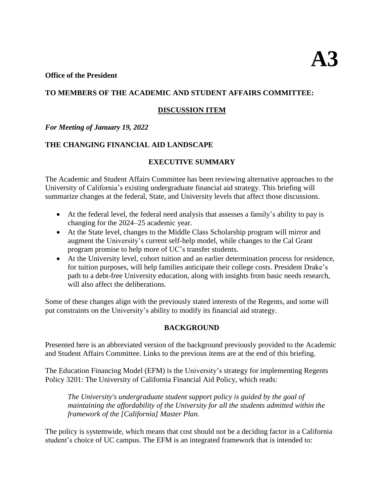### **Office of the President**

## **TO MEMBERS OF THE ACADEMIC AND STUDENT AFFAIRS COMMITTEE:**

## **DISCUSSION ITEM**

## *For Meeting of January 19, 2022*

# **THE CHANGING FINANCIAL AID LANDSCAPE**

## **EXECUTIVE SUMMARY**

The Academic and Student Affairs Committee has been reviewing alternative approaches to the University of California's existing undergraduate financial aid strategy. This briefing will summarize changes at the federal, State, and University levels that affect those discussions.

- At the federal level, the federal need analysis that assesses a family's ability to pay is changing for the 2024–25 academic year.
- At the State level, changes to the Middle Class Scholarship program will mirror and augment the University's current self-help model, while changes to the Cal Grant program promise to help more of UC's transfer students.
- At the University level, cohort tuition and an earlier determination process for residence, for tuition purposes, will help families anticipate their college costs. President Drake's path to a debt-free University education, along with insights from basic needs research, will also affect the deliberations.

Some of these changes align with the previously stated interests of the Regents, and some will put constraints on the University's ability to modify its financial aid strategy.

### **BACKGROUND**

Presented here is an abbreviated version of the background previously provided to the Academic and Student Affairs Committee. Links to the previous items are at the end of this briefing.

The Education Financing Model (EFM) is the University's strategy for implementing Regents Policy 3201: The University of California Financial Aid Policy, which reads:

*The University's undergraduate student support policy is guided by the goal of maintaining the affordability of the University for all the students admitted within the framework of the [California] Master Plan.*

The policy is systemwide, which means that cost should not be a deciding factor in a California student's choice of UC campus. The EFM is an integrated framework that is intended to: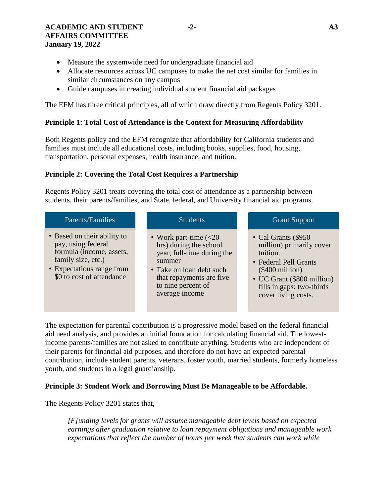### **ACADEMIC AND STUDENT -2- A3 AFFAIRS COMMITTEE January 19, 2022**

- Measure the systemwide need for undergraduate financial aid
- Allocate resources across UC campuses to make the net cost similar for families in similar circumstances on any campus
- Guide campuses in creating individual student financial aid packages

The EFM has three critical principles, all of which draw directly from Regents Policy 3201.

## **Principle 1: Total Cost of Attendance is the Context for Measuring Affordability**

Both Regents policy and the EFM recognize that affordability for California students and families must include all educational costs, including books, supplies, food, housing, transportation, personal expenses, health insurance, and tuition.

## **Principle 2: Covering the Total Cost Requires a Partnership**

Regents Policy 3201 treats covering the total cost of attendance as a partnership between students, their parents/families, and State, federal, and University financial aid programs.

| Parents/Families                                                                                                                                              | <b>Students</b>                                                                                                                                                                                          | <b>Grant Support</b>                                                                                                                                                                         |
|---------------------------------------------------------------------------------------------------------------------------------------------------------------|----------------------------------------------------------------------------------------------------------------------------------------------------------------------------------------------------------|----------------------------------------------------------------------------------------------------------------------------------------------------------------------------------------------|
| • Based on their ability to<br>pay, using federal<br>formula (income, assets,<br>family size, etc.)<br>• Expectations range from<br>\$0 to cost of attendance | • Work part-time $\left( < 20 \right)$<br>hrs) during the school<br>year, full-time during the<br>summer<br>• Take on loan debt such<br>that repayments are five<br>to nine percent of<br>average income | • Cal Grants (\$950)<br>million) primarily cover<br>tuition.<br>• Federal Pell Grants<br>$(\$400$ million)<br>• UC Grant (\$800 million)<br>fills in gaps: two-thirds<br>cover living costs. |
|                                                                                                                                                               |                                                                                                                                                                                                          |                                                                                                                                                                                              |

The expectation for parental contribution is a progressive model based on the federal financial aid need analysis, and provides an initial foundation for calculating financial aid. The lowestincome parents/families are not asked to contribute anything. Students who are independent of their parents for financial aid purposes, and therefore do not have an expected parental contribution, include student parents, veterans, foster youth, married students, formerly homeless youth, and students in a legal guardianship.

### **Principle 3: Student Work and Borrowing Must Be Manageable to be Affordable.**

The Regents Policy 3201 states that,

*[F]unding levels for grants will assume manageable debt levels based on expected earnings after graduation relative to loan repayment obligations and manageable work expectations that reflect the number of hours per week that students can work while*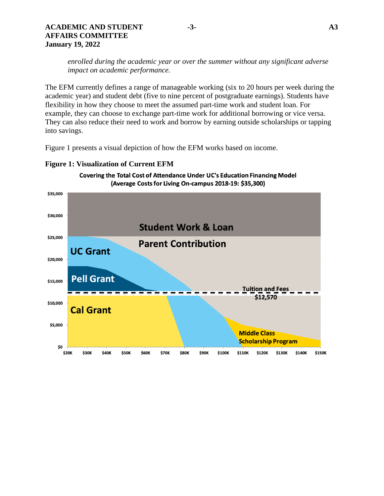### **ACADEMIC AND STUDENT -3- A3 AFFAIRS COMMITTEE January 19, 2022**

*enrolled during the academic year or over the summer without any significant adverse impact on academic performance.*

The EFM currently defines a range of manageable working (six to 20 hours per week during the academic year) and student debt (five to nine percent of postgraduate earnings). Students have flexibility in how they choose to meet the assumed part-time work and student loan. For example, they can choose to exchange part-time work for additional borrowing or vice versa. They can also reduce their need to work and borrow by earning outside scholarships or tapping into savings.

Figure 1 presents a visual depiction of how the EFM works based on income.



## **Figure 1: Visualization of Current EFM**

Covering the Total Cost of Attendance Under UC's Education Financing Model (Average Costs for Living On-campus 2018-19: \$35,300)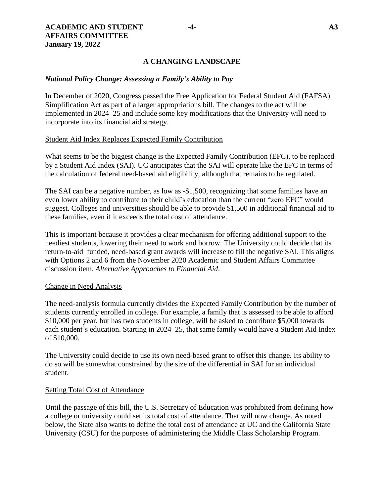### **A CHANGING LANDSCAPE**

### *National Policy Change: Assessing a Family's Ability to Pay*

In December of 2020, Congress passed the Free Application for Federal Student Aid (FAFSA) Simplification Act as part of a larger appropriations bill. The changes to the act will be implemented in 2024–25 and include some key modifications that the University will need to incorporate into its financial aid strategy.

#### Student Aid Index Replaces Expected Family Contribution

What seems to be the biggest change is the Expected Family Contribution (EFC), to be replaced by a Student Aid Index (SAI). UC anticipates that the SAI will operate like the EFC in terms of the calculation of federal need-based aid eligibility, although that remains to be regulated.

The SAI can be a negative number, as low as -\$1,500, recognizing that some families have an even lower ability to contribute to their child's education than the current "zero EFC" would suggest. Colleges and universities should be able to provide \$1,500 in additional financial aid to these families, even if it exceeds the total cost of attendance.

This is important because it provides a clear mechanism for offering additional support to the neediest students, lowering their need to work and borrow. The University could decide that its return-to-aid–funded, need-based grant awards will increase to fill the negative SAI. This aligns with Options 2 and 6 from the November 2020 Academic and Student Affairs Committee discussion item, *Alternative Approaches to Financial Aid*.

#### Change in Need Analysis

The need-analysis formula currently divides the Expected Family Contribution by the number of students currently enrolled in college. For example, a family that is assessed to be able to afford \$10,000 per year, but has two students in college, will be asked to contribute \$5,000 towards each student's education. Starting in 2024–25, that same family would have a Student Aid Index of \$10,000.

The University could decide to use its own need-based grant to offset this change. Its ability to do so will be somewhat constrained by the size of the differential in SAI for an individual student.

#### Setting Total Cost of Attendance

Until the passage of this bill, the U.S. Secretary of Education was prohibited from defining how a college or university could set its total cost of attendance. That will now change. As noted below, the State also wants to define the total cost of attendance at UC and the California State University (CSU) for the purposes of administering the Middle Class Scholarship Program.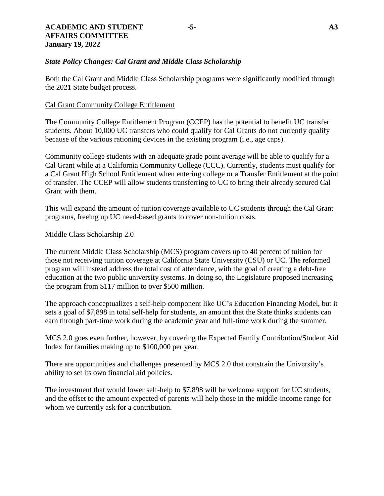Both the Cal Grant and Middle Class Scholarship programs were significantly modified through the 2021 State budget process.

### Cal Grant Community College Entitlement

The Community College Entitlement Program (CCEP) has the potential to benefit UC transfer students. About 10,000 UC transfers who could qualify for Cal Grants do not currently qualify because of the various rationing devices in the existing program (i.e., age caps).

Community college students with an adequate grade point average will be able to qualify for a Cal Grant while at a California Community College (CCC). Currently, students must qualify for a Cal Grant High School Entitlement when entering college or a Transfer Entitlement at the point of transfer. The CCEP will allow students transferring to UC to bring their already secured Cal Grant with them.

This will expand the amount of tuition coverage available to UC students through the Cal Grant programs, freeing up UC need-based grants to cover non-tuition costs.

### Middle Class Scholarship 2.0

The current Middle Class Scholarship (MCS) program covers up to 40 percent of tuition for those not receiving tuition coverage at California State University (CSU) or UC. The reformed program will instead address the total cost of attendance, with the goal of creating a debt-free education at the two public university systems. In doing so, the Legislature proposed increasing the program from \$117 million to over \$500 million.

The approach conceptualizes a self-help component like UC's Education Financing Model, but it sets a goal of \$7,898 in total self-help for students, an amount that the State thinks students can earn through part-time work during the academic year and full-time work during the summer.

MCS 2.0 goes even further, however, by covering the Expected Family Contribution/Student Aid Index for families making up to \$100,000 per year.

There are opportunities and challenges presented by MCS 2.0 that constrain the University's ability to set its own financial aid policies.

The investment that would lower self-help to \$7,898 will be welcome support for UC students, and the offset to the amount expected of parents will help those in the middle-income range for whom we currently ask for a contribution.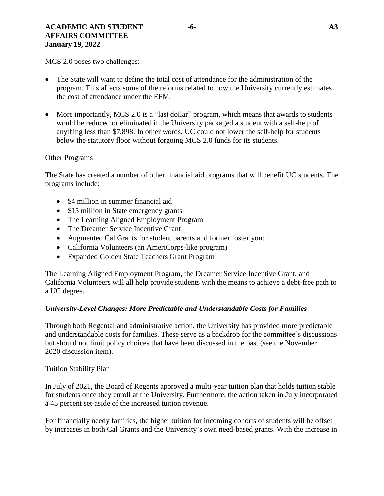## **ACADEMIC AND STUDENT -6- A3 AFFAIRS COMMITTEE January 19, 2022**

MCS 2.0 poses two challenges:

- The State will want to define the total cost of attendance for the administration of the program. This affects some of the reforms related to how the University currently estimates the cost of attendance under the EFM.
- More importantly, MCS 2.0 is a "last dollar" program, which means that awards to students would be reduced or eliminated if the University packaged a student with a self-help of anything less than \$7,898. In other words, UC could not lower the self-help for students below the statutory floor without forgoing MCS 2.0 funds for its students.

### Other Programs

The State has created a number of other financial aid programs that will benefit UC students. The programs include:

- \$4 million in summer financial aid
- \$15 million in State emergency grants
- The Learning Aligned Employment Program
- The Dreamer Service Incentive Grant
- Augmented Cal Grants for student parents and former foster youth
- California Volunteers (an AmeriCorps-like program)
- Expanded Golden State Teachers Grant Program

The Learning Aligned Employment Program, the Dreamer Service Incentive Grant, and California Volunteers will all help provide students with the means to achieve a debt-free path to a UC degree.

# *University-Level Changes: More Predictable and Understandable Costs for Families*

Through both Regental and administrative action, the University has provided more predictable and understandable costs for families. These serve as a backdrop for the committee's discussions but should not limit policy choices that have been discussed in the past (see the November 2020 discussion item).

### Tuition Stability Plan

In July of 2021, the Board of Regents approved a multi-year tuition plan that holds tuition stable for students once they enroll at the University. Furthermore, the action taken in July incorporated a 45 percent set-aside of the increased tuition revenue.

For financially needy families, the higher tuition for incoming cohorts of students will be offset by increases in both Cal Grants and the University's own need-based grants. With the increase in